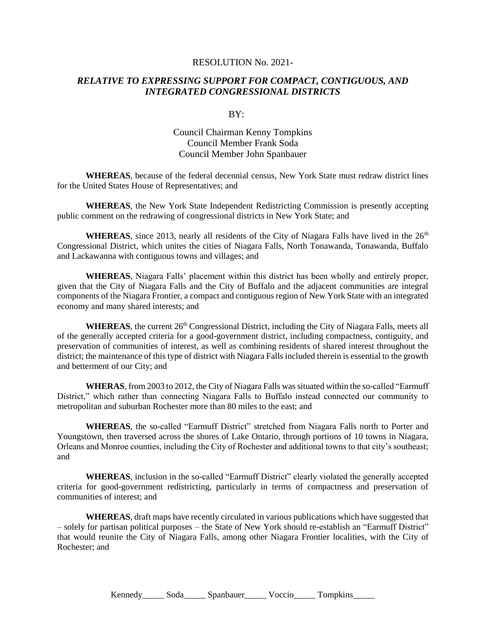## RESOLUTION No. 2021-

## *RELATIVE TO EXPRESSING SUPPORT FOR COMPACT, CONTIGUOUS, AND INTEGRATED CONGRESSIONAL DISTRICTS*

## $RY$

## Council Chairman Kenny Tompkins Council Member Frank Soda Council Member John Spanbauer

**WHEREAS**, because of the federal decennial census, New York State must redraw district lines for the United States House of Representatives; and

**WHEREAS**, the New York State Independent Redistricting Commission is presently accepting public comment on the redrawing of congressional districts in New York State; and

**WHEREAS**, since 2013, nearly all residents of the City of Niagara Falls have lived in the  $26<sup>th</sup>$ Congressional District, which unites the cities of Niagara Falls, North Tonawanda, Tonawanda, Buffalo and Lackawanna with contiguous towns and villages; and

**WHEREAS**, Niagara Falls' placement within this district has been wholly and entirely proper, given that the City of Niagara Falls and the City of Buffalo and the adjacent communities are integral components of the Niagara Frontier, a compact and contiguous region of New York State with an integrated economy and many shared interests; and

**WHEREAS**, the current 26<sup>th</sup> Congressional District, including the City of Niagara Falls, meets all of the generally accepted criteria for a good-government district, including compactness, contiguity, and preservation of communities of interest, as well as combining residents of shared interest throughout the district; the maintenance of this type of district with Niagara Falls included therein is essential to the growth and betterment of our City; and

**WHERAS**, from 2003 to 2012, the City of Niagara Falls was situated within the so-called "Earmuff District," which rather than connecting Niagara Falls to Buffalo instead connected our community to metropolitan and suburban Rochester more than 80 miles to the east; and

**WHEREAS**, the so-called "Earmuff District" stretched from Niagara Falls north to Porter and Youngstown, then traversed across the shores of Lake Ontario, through portions of 10 towns in Niagara, Orleans and Monroe counties, including the City of Rochester and additional towns to that city's southeast; and

**WHEREAS**, inclusion in the so-called "Earmuff District" clearly violated the generally accepted criteria for good-government redistricting, particularly in terms of compactness and preservation of communities of interest; and

**WHEREAS**, draft maps have recently circulated in various publications which have suggested that – solely for partisan political purposes – the State of New York should re-establish an "Earmuff District" that would reunite the City of Niagara Falls, among other Niagara Frontier localities, with the City of Rochester; and